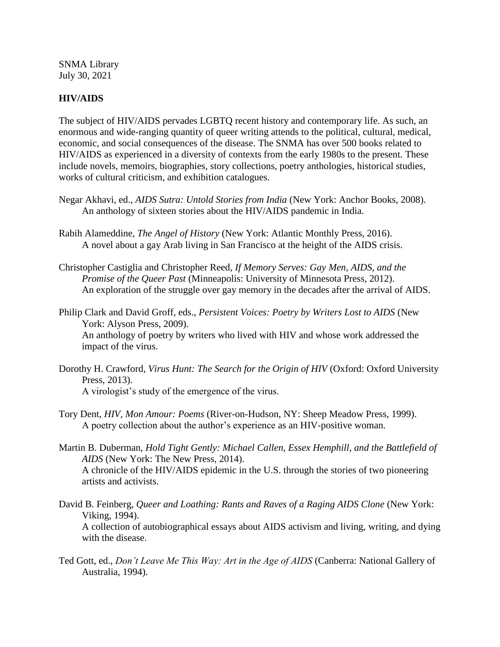SNMA Library July 30, 2021

## **HIV/AIDS**

The subject of HIV/AIDS pervades LGBTQ recent history and contemporary life. As such, an enormous and wide-ranging quantity of queer writing attends to the political, cultural, medical, economic, and social consequences of the disease. The SNMA has over 500 books related to HIV/AIDS as experienced in a diversity of contexts from the early 1980s to the present. These include novels, memoirs, biographies, story collections, poetry anthologies, historical studies, works of cultural criticism, and exhibition catalogues.

- Negar Akhavi, ed., *AIDS Sutra: Untold Stories from India* (New York: Anchor Books, 2008). An anthology of sixteen stories about the HIV/AIDS pandemic in India.
- Rabih Alameddine, *The Angel of History* (New York: Atlantic Monthly Press, 2016). A novel about a gay Arab living in San Francisco at the height of the AIDS crisis.
- Christopher Castiglia and Christopher Reed, *If Memory Serves: Gay Men, AIDS, and the Promise of the Queer Past* (Minneapolis: University of Minnesota Press, 2012). An exploration of the struggle over gay memory in the decades after the arrival of AIDS.
- Philip Clark and David Groff, eds., *Persistent Voices: Poetry by Writers Lost to AIDS* (New York: Alyson Press, 2009). An anthology of poetry by writers who lived with HIV and whose work addressed the impact of the virus.
- Dorothy H. Crawford, *Virus Hunt: The Search for the Origin of HIV* (Oxford: Oxford University Press, 2013). A virologist's study of the emergence of the virus.
- Tory Dent, *HIV, Mon Amour: Poems* (River-on-Hudson, NY: Sheep Meadow Press, 1999). A poetry collection about the author's experience as an HIV-positive woman.
- Martin B. Duberman, *Hold Tight Gently: Michael Callen, Essex Hemphill, and the Battlefield of AIDS* (New York: The New Press, 2014). A chronicle of the HIV/AIDS epidemic in the U.S. through the stories of two pioneering artists and activists.
- David B. Feinberg, *Queer and Loathing: Rants and Raves of a Raging AIDS Clone* (New York: Viking, 1994). A collection of autobiographical essays about AIDS activism and living, writing, and dying with the disease.
- Ted Gott, ed., *Don't Leave Me This Way: Art in the Age of AIDS* (Canberra: National Gallery of Australia, 1994).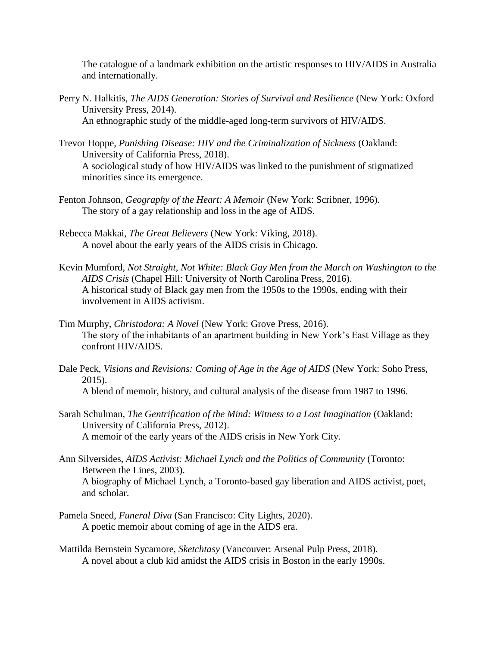The catalogue of a landmark exhibition on the artistic responses to HIV/AIDS in Australia and internationally.

- Perry N. Halkitis, *The AIDS Generation: Stories of Survival and Resilience* (New York: Oxford University Press, 2014). An ethnographic study of the middle-aged long-term survivors of HIV/AIDS.
- Trevor Hoppe, *Punishing Disease: HIV and the Criminalization of Sickness* (Oakland: University of California Press, 2018). A sociological study of how HIV/AIDS was linked to the punishment of stigmatized minorities since its emergence.
- Fenton Johnson, *Geography of the Heart: A Memoir* (New York: Scribner, 1996). The story of a gay relationship and loss in the age of AIDS.
- Rebecca Makkai, *The Great Believers* (New York: Viking, 2018). A novel about the early years of the AIDS crisis in Chicago.
- Kevin Mumford, *Not Straight, Not White: Black Gay Men from the March on Washington to the AIDS Crisis* (Chapel Hill: University of North Carolina Press, 2016). A historical study of Black gay men from the 1950s to the 1990s, ending with their involvement in AIDS activism.
- Tim Murphy, *Christodora: A Novel* (New York: Grove Press, 2016). The story of the inhabitants of an apartment building in New York's East Village as they confront HIV/AIDS.
- Dale Peck, *Visions and Revisions: Coming of Age in the Age of AIDS* (New York: Soho Press, 2015). A blend of memoir, history, and cultural analysis of the disease from 1987 to 1996.
- Sarah Schulman, *The Gentrification of the Mind: Witness to a Lost Imagination* (Oakland: University of California Press, 2012). A memoir of the early years of the AIDS crisis in New York City.
- Ann Silversides, *AIDS Activist: Michael Lynch and the Politics of Community* (Toronto: Between the Lines, 2003). A biography of Michael Lynch, a Toronto-based gay liberation and AIDS activist, poet, and scholar.
- Pamela Sneed, *Funeral Diva* (San Francisco: City Lights, 2020). A poetic memoir about coming of age in the AIDS era.
- Mattilda Bernstein Sycamore, *Sketchtasy* (Vancouver: Arsenal Pulp Press, 2018). A novel about a club kid amidst the AIDS crisis in Boston in the early 1990s.